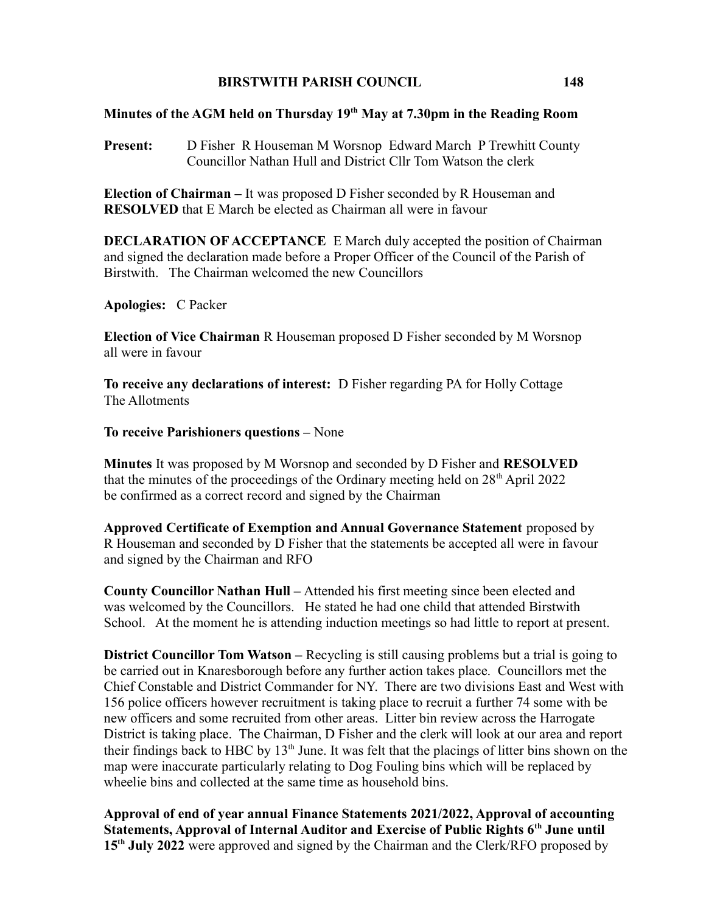## BIRSTWITH PARISH COUNCIL 148

## Minutes of the AGM held on Thursday  $19<sup>th</sup>$  May at 7.30pm in the Reading Room

Present: D Fisher R Houseman M Worsnop Edward March P Trewhitt County Councillor Nathan Hull and District Cllr Tom Watson the clerk

Election of Chairman – It was proposed D Fisher seconded by R Houseman and RESOLVED that E March be elected as Chairman all were in favour

DECLARATION OF ACCEPTANCE E March duly accepted the position of Chairman and signed the declaration made before a Proper Officer of the Council of the Parish of Birstwith. The Chairman welcomed the new Councillors

Apologies: C Packer

Election of Vice Chairman R Houseman proposed D Fisher seconded by M Worsnop all were in favour

To receive any declarations of interest: D Fisher regarding PA for Holly Cottage The Allotments

To receive Parishioners questions – None

Minutes It was proposed by M Worsnop and seconded by D Fisher and RESOLVED that the minutes of the proceedings of the Ordinary meeting held on  $28<sup>th</sup>$  April 2022 be confirmed as a correct record and signed by the Chairman

Approved Certificate of Exemption and Annual Governance Statement proposed by R Houseman and seconded by D Fisher that the statements be accepted all were in favour and signed by the Chairman and RFO

County Councillor Nathan Hull – Attended his first meeting since been elected and was welcomed by the Councillors. He stated he had one child that attended Birstwith School. At the moment he is attending induction meetings so had little to report at present.

District Councillor Tom Watson – Recycling is still causing problems but a trial is going to be carried out in Knaresborough before any further action takes place. Councillors met the Chief Constable and District Commander for NY. There are two divisions East and West with 156 police officers however recruitment is taking place to recruit a further 74 some with be new officers and some recruited from other areas. Litter bin review across the Harrogate District is taking place. The Chairman, D Fisher and the clerk will look at our area and report their findings back to HBC by  $13<sup>th</sup>$  June. It was felt that the placings of litter bins shown on the map were inaccurate particularly relating to Dog Fouling bins which will be replaced by wheelie bins and collected at the same time as household bins.

Approval of end of year annual Finance Statements 2021/2022, Approval of accounting Statements, Approval of Internal Auditor and Exercise of Public Rights 6<sup>th</sup> June until 15<sup>th</sup> July 2022 were approved and signed by the Chairman and the Clerk/RFO proposed by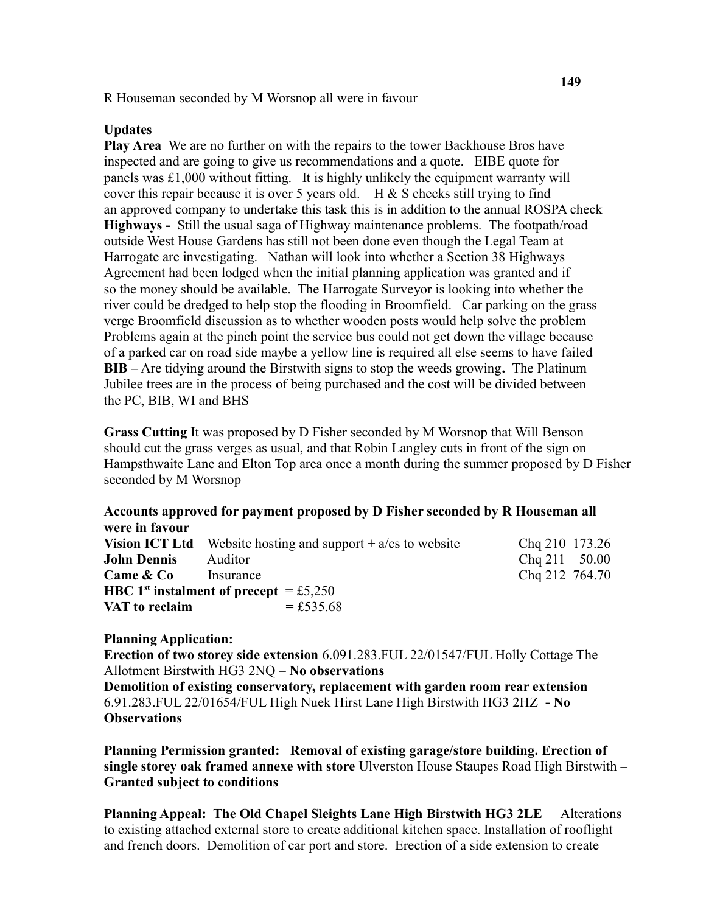R Houseman seconded by M Worsnop all were in favour

## Updates

Play Area We are no further on with the repairs to the tower Backhouse Bros have inspected and are going to give us recommendations and a quote. EIBE quote for panels was £1,000 without fitting. It is highly unlikely the equipment warranty will cover this repair because it is over 5 years old.  $H & S$  checks still trying to find an approved company to undertake this task this is in addition to the annual ROSPA check Highways - Still the usual saga of Highway maintenance problems. The footpath/road outside West House Gardens has still not been done even though the Legal Team at Harrogate are investigating. Nathan will look into whether a Section 38 Highways Agreement had been lodged when the initial planning application was granted and if so the money should be available. The Harrogate Surveyor is looking into whether the river could be dredged to help stop the flooding in Broomfield. Car parking on the grass verge Broomfield discussion as to whether wooden posts would help solve the problem Problems again at the pinch point the service bus could not get down the village because of a parked car on road side maybe a yellow line is required all else seems to have failed BIB – Are tidying around the Birstwith signs to stop the weeds growing. The Platinum Jubilee trees are in the process of being purchased and the cost will be divided between the PC, BIB, WI and BHS

Grass Cutting It was proposed by D Fisher seconded by M Worsnop that Will Benson should cut the grass verges as usual, and that Robin Langley cuts in front of the sign on Hampsthwaite Lane and Elton Top area once a month during the summer proposed by D Fisher seconded by M Worsnop

## Accounts approved for payment proposed by D Fisher seconded by R Houseman all were in favour

|                                                           | <b>Vision ICT Ltd</b> Website hosting and support $+ a/cs$ to website | Chq 210 173.26  |  |
|-----------------------------------------------------------|-----------------------------------------------------------------------|-----------------|--|
| <b>John Dennis</b>                                        | Auditor                                                               | $Chq 211$ 50.00 |  |
| <b>Came &amp; Co</b>                                      | Insurance                                                             | Chq 212 764.70  |  |
| <b>HBC</b> 1 <sup>st</sup> instalment of precept = £5,250 |                                                                       |                 |  |
| VAT to reclaim                                            | $= £535.68$                                                           |                 |  |

Planning Application:

Erection of two storey side extension 6.091.283.FUL 22/01547/FUL Holly Cottage The Allotment Birstwith HG3 2NQ – No observations

Demolition of existing conservatory, replacement with garden room rear extension 6.91.283.FUL 22/01654/FUL High Nuek Hirst Lane High Birstwith HG3 2HZ - No **Observations** 

Planning Permission granted: Removal of existing garage/store building. Erection of single storey oak framed annexe with store Ulverston House Staupes Road High Birstwith – Granted subject to conditions

Planning Appeal: The Old Chapel Sleights Lane High Birstwith HG3 2LE Alterations to existing attached external store to create additional kitchen space. Installation of rooflight and french doors. Demolition of car port and store. Erection of a side extension to create